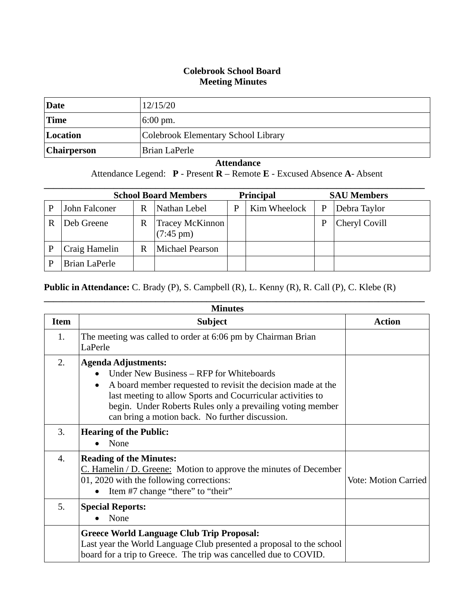## **Colebrook School Board Meeting Minutes**

| Date               | 12/15/20                            |
|--------------------|-------------------------------------|
| <b>Time</b>        | $6:00 \text{ pm}.$                  |
| Location           | Colebrook Elementary School Library |
| <b>Chairperson</b> | Brian LaPerle                       |

## **Attendance**

Attendance Legend: **P** - Present **R** – Remote **E** - Excused Absence **A**- Absent

|   | <b>School Board Members</b> |   | <b>Principal</b>                              |   | <b>SAU Members</b> |   |               |
|---|-----------------------------|---|-----------------------------------------------|---|--------------------|---|---------------|
|   | John Falconer               | R | Nathan Lebel                                  | P | Kim Wheelock       | P | Debra Taylor  |
| R | Deb Greene                  | R | <b>Tracey McKinnon</b><br>$(7:45 \text{ pm})$ |   |                    | P | Cheryl Covill |
|   | Craig Hamelin               | R | <b>Michael Pearson</b>                        |   |                    |   |               |
|   | Brian LaPerle               |   |                                               |   |                    |   |               |

## **Public in Attendance:** C. Brady (P), S. Campbell (R), L. Kenny (R), R. Call (P), C. Klebe (R)

| <b>Minutes</b>   |                                                                                                                                                                                                                                                                                                                        |                             |  |  |
|------------------|------------------------------------------------------------------------------------------------------------------------------------------------------------------------------------------------------------------------------------------------------------------------------------------------------------------------|-----------------------------|--|--|
| <b>Item</b>      | <b>Subject</b>                                                                                                                                                                                                                                                                                                         | <b>Action</b>               |  |  |
| 1.               | The meeting was called to order at 6:06 pm by Chairman Brian<br>LaPerle                                                                                                                                                                                                                                                |                             |  |  |
| 2.               | <b>Agenda Adjustments:</b><br>Under New Business – RFP for Whiteboards<br>A board member requested to revisit the decision made at the<br>last meeting to allow Sports and Cocurricular activities to<br>begin. Under Roberts Rules only a prevailing voting member<br>can bring a motion back. No further discussion. |                             |  |  |
| 3.               | <b>Hearing of the Public:</b><br>None                                                                                                                                                                                                                                                                                  |                             |  |  |
| $\overline{4}$ . | <b>Reading of the Minutes:</b><br>$C.$ Hamelin / D. Greene: Motion to approve the minutes of December<br>01, 2020 with the following corrections:<br>Item #7 change "there" to "their"                                                                                                                                 | <b>Vote: Motion Carried</b> |  |  |
| 5.               | <b>Special Reports:</b><br>None                                                                                                                                                                                                                                                                                        |                             |  |  |
|                  | <b>Greece World Language Club Trip Proposal:</b><br>Last year the World Language Club presented a proposal to the school<br>board for a trip to Greece. The trip was cancelled due to COVID.                                                                                                                           |                             |  |  |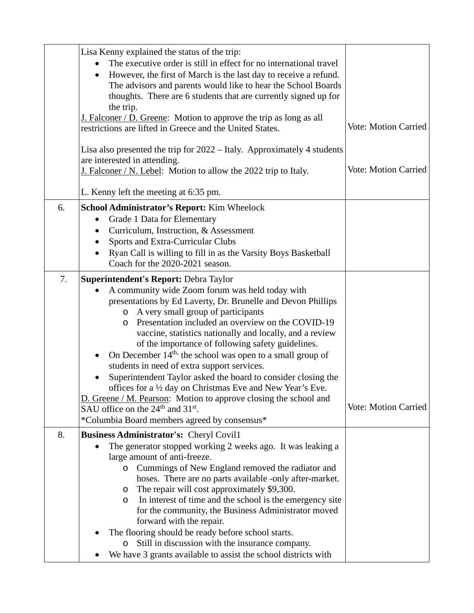|    | Lisa Kenny explained the status of the trip:<br>The executive order is still in effect for no international travel<br>However, the first of March is the last day to receive a refund.<br>$\bullet$<br>The advisors and parents would like to hear the School Boards<br>thoughts. There are 6 students that are currently signed up for<br>the trip. |                             |
|----|------------------------------------------------------------------------------------------------------------------------------------------------------------------------------------------------------------------------------------------------------------------------------------------------------------------------------------------------------|-----------------------------|
|    | J. Falconer / D. Greene: Motion to approve the trip as long as all<br>restrictions are lifted in Greece and the United States.                                                                                                                                                                                                                       | <b>Vote: Motion Carried</b> |
|    | Lisa also presented the trip for 2022 – Italy. Approximately 4 students<br>are interested in attending.<br>J. Falconer / N. Lebel: Motion to allow the 2022 trip to Italy.                                                                                                                                                                           | <b>Vote: Motion Carried</b> |
|    | L. Kenny left the meeting at 6:35 pm.                                                                                                                                                                                                                                                                                                                |                             |
| 6. | <b>School Administrator's Report: Kim Wheelock</b>                                                                                                                                                                                                                                                                                                   |                             |
|    | Grade 1 Data for Elementary<br>$\bullet$                                                                                                                                                                                                                                                                                                             |                             |
|    | Curriculum, Instruction, & Assessment<br><b>Sports and Extra-Curricular Clubs</b>                                                                                                                                                                                                                                                                    |                             |
|    | Ryan Call is willing to fill in as the Varsity Boys Basketball                                                                                                                                                                                                                                                                                       |                             |
|    | Coach for the 2020-2021 season.                                                                                                                                                                                                                                                                                                                      |                             |
| 7. | <b>Superintendent's Report: Debra Taylor</b>                                                                                                                                                                                                                                                                                                         |                             |
|    | A community wide Zoom forum was held today with<br>$\bullet$<br>presentations by Ed Laverty, Dr. Brunelle and Devon Phillips<br>o A very small group of participants<br>Presentation included an overview on the COVID-19<br>O<br>vaccine, statistics nationally and locally, and a review<br>of the importance of following safety guidelines.      |                             |
|    | On December $14th$ , the school was open to a small group of<br>$\bullet$<br>students in need of extra support services.                                                                                                                                                                                                                             |                             |
|    | Superintendent Taylor asked the board to consider closing the                                                                                                                                                                                                                                                                                        |                             |
|    | offices for a 1/2 day on Christmas Eve and New Year's Eve                                                                                                                                                                                                                                                                                            |                             |
|    | D. Greene / M. Pearson: Motion to approve closing the school and                                                                                                                                                                                                                                                                                     |                             |
|    | SAU office on the $24th$ and $31st$ .                                                                                                                                                                                                                                                                                                                | <b>Vote: Motion Carried</b> |
|    | *Columbia Board members agreed by consensus*                                                                                                                                                                                                                                                                                                         |                             |
| 8. | <b>Business Administrator's: Cheryl Covil1</b><br>The generator stopped working 2 weeks ago. It was leaking a                                                                                                                                                                                                                                        |                             |
|    | large amount of anti-freeze.                                                                                                                                                                                                                                                                                                                         |                             |
|    | Cummings of New England removed the radiator and<br>$\circ$                                                                                                                                                                                                                                                                                          |                             |
|    | hoses. There are no parts available -only after-market.                                                                                                                                                                                                                                                                                              |                             |
|    | The repair will cost approximately \$9,300.<br>$\circ$                                                                                                                                                                                                                                                                                               |                             |
|    | In interest of time and the school is the emergency site<br>$\circ$                                                                                                                                                                                                                                                                                  |                             |
|    | for the community, the Business Administrator moved<br>forward with the repair.                                                                                                                                                                                                                                                                      |                             |
|    | The flooring should be ready before school starts.                                                                                                                                                                                                                                                                                                   |                             |
|    | Still in discussion with the insurance company.<br>$\circ$                                                                                                                                                                                                                                                                                           |                             |
|    | We have 3 grants available to assist the school districts with                                                                                                                                                                                                                                                                                       |                             |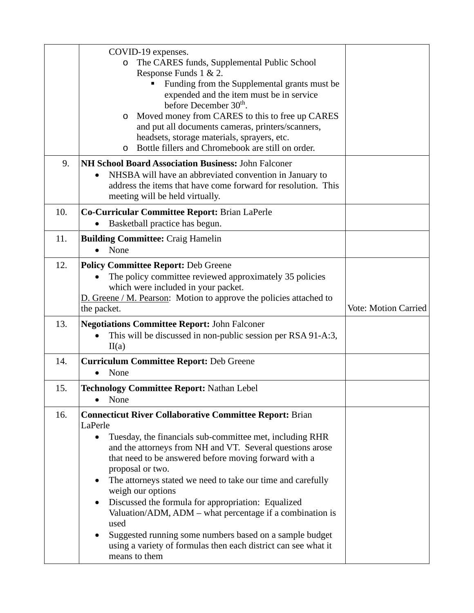|     | COVID-19 expenses.<br>The CARES funds, Supplemental Public School<br>$\circ$<br>Response Funds 1 & 2.<br>Funding from the Supplemental grants must be<br>expended and the item must be in service<br>before December 30 <sup>th</sup> .<br>Moved money from CARES to this to free up CARES<br>O<br>and put all documents cameras, printers/scanners,<br>headsets, storage materials, sprayers, etc.<br>Bottle fillers and Chromebook are still on order.<br>O                                                                                                                                                                                                                                   |                             |
|-----|-------------------------------------------------------------------------------------------------------------------------------------------------------------------------------------------------------------------------------------------------------------------------------------------------------------------------------------------------------------------------------------------------------------------------------------------------------------------------------------------------------------------------------------------------------------------------------------------------------------------------------------------------------------------------------------------------|-----------------------------|
| 9.  | NH School Board Association Business: John Falconer<br>NHSBA will have an abbreviated convention in January to<br>address the items that have come forward for resolution. This<br>meeting will be held virtually.                                                                                                                                                                                                                                                                                                                                                                                                                                                                              |                             |
| 10. | Co-Curricular Committee Report: Brian LaPerle<br>Basketball practice has begun.                                                                                                                                                                                                                                                                                                                                                                                                                                                                                                                                                                                                                 |                             |
| 11. | <b>Building Committee: Craig Hamelin</b><br>None                                                                                                                                                                                                                                                                                                                                                                                                                                                                                                                                                                                                                                                |                             |
| 12. | <b>Policy Committee Report: Deb Greene</b><br>The policy committee reviewed approximately 35 policies<br>which were included in your packet.<br>D. Greene / M. Pearson: Motion to approve the policies attached to<br>the packet.                                                                                                                                                                                                                                                                                                                                                                                                                                                               | <b>Vote: Motion Carried</b> |
| 13. | <b>Negotiations Committee Report: John Falconer</b><br>This will be discussed in non-public session per RSA 91-A:3,<br>II(a)                                                                                                                                                                                                                                                                                                                                                                                                                                                                                                                                                                    |                             |
| 14. | <b>Curriculum Committee Report: Deb Greene</b><br>None                                                                                                                                                                                                                                                                                                                                                                                                                                                                                                                                                                                                                                          |                             |
| 15. | <b>Technology Committee Report: Nathan Lebel</b><br>None                                                                                                                                                                                                                                                                                                                                                                                                                                                                                                                                                                                                                                        |                             |
| 16. | <b>Connecticut River Collaborative Committee Report: Brian</b><br>LaPerle<br>Tuesday, the financials sub-committee met, including RHR<br>$\bullet$<br>and the attorneys from NH and VT. Several questions arose<br>that need to be answered before moving forward with a<br>proposal or two.<br>The attorneys stated we need to take our time and carefully<br>$\bullet$<br>weigh our options<br>Discussed the formula for appropriation: Equalized<br>$\bullet$<br>Valuation/ADM, ADM – what percentage if a combination is<br>used<br>Suggested running some numbers based on a sample budget<br>$\bullet$<br>using a variety of formulas then each district can see what it<br>means to them |                             |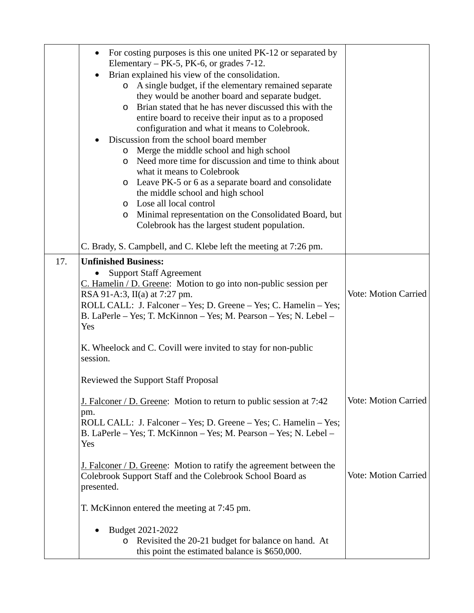|     | For costing purposes is this one united PK-12 or separated by<br>$\bullet$<br>Elementary $-$ PK-5, PK-6, or grades 7-12.<br>Brian explained his view of the consolidation.<br>$\bullet$<br>A single budget, if the elementary remained separate<br>$\circ$<br>they would be another board and separate budget.<br>Brian stated that he has never discussed this with the<br>$\circ$<br>entire board to receive their input as to a proposed<br>configuration and what it means to Colebrook.<br>Discussion from the school board member<br>Merge the middle school and high school<br>$\circ$<br>Need more time for discussion and time to think about<br>$\circ$<br>what it means to Colebrook<br>Leave PK-5 or 6 as a separate board and consolidate<br>$\circ$<br>the middle school and high school<br>Lose all local control<br>$\circ$<br>Minimal representation on the Consolidated Board, but<br>$\circ$<br>Colebrook has the largest student population. |                             |
|-----|------------------------------------------------------------------------------------------------------------------------------------------------------------------------------------------------------------------------------------------------------------------------------------------------------------------------------------------------------------------------------------------------------------------------------------------------------------------------------------------------------------------------------------------------------------------------------------------------------------------------------------------------------------------------------------------------------------------------------------------------------------------------------------------------------------------------------------------------------------------------------------------------------------------------------------------------------------------|-----------------------------|
|     | C. Brady, S. Campbell, and C. Klebe left the meeting at 7:26 pm.                                                                                                                                                                                                                                                                                                                                                                                                                                                                                                                                                                                                                                                                                                                                                                                                                                                                                                 |                             |
| 17. | <b>Unfinished Business:</b><br><b>Support Staff Agreement</b><br>C. Hamelin / D. Greene: Motion to go into non-public session per<br>RSA 91-A:3, II(a) at 7:27 pm.<br>ROLL CALL: J. Falconer – Yes; D. Greene – Yes; C. Hamelin – Yes;<br>B. LaPerle – Yes; T. McKinnon – Yes; M. Pearson – Yes; N. Lebel –<br>Yes<br>K. Wheelock and C. Covill were invited to stay for non-public<br>session.<br><b>Reviewed the Support Staff Proposal</b>                                                                                                                                                                                                                                                                                                                                                                                                                                                                                                                    | <b>Vote: Motion Carried</b> |
|     | J. Falconer / D. Greene: Motion to return to public session at 7:42<br>pm.<br>ROLL CALL: J. Falconer – Yes; D. Greene – Yes; C. Hamelin – Yes;<br>B. LaPerle – Yes; T. McKinnon – Yes; M. Pearson – Yes; N. Lebel –<br>Yes                                                                                                                                                                                                                                                                                                                                                                                                                                                                                                                                                                                                                                                                                                                                       | <b>Vote: Motion Carried</b> |
|     | <b>J.</b> Falconer / D. Greene: Motion to ratify the agreement between the<br>Colebrook Support Staff and the Colebrook School Board as<br>presented.                                                                                                                                                                                                                                                                                                                                                                                                                                                                                                                                                                                                                                                                                                                                                                                                            | <b>Vote: Motion Carried</b> |
|     | T. McKinnon entered the meeting at 7:45 pm.                                                                                                                                                                                                                                                                                                                                                                                                                                                                                                                                                                                                                                                                                                                                                                                                                                                                                                                      |                             |
|     | Budget 2021-2022<br>Revisited the 20-21 budget for balance on hand. At<br>$\circ$<br>this point the estimated balance is \$650,000.                                                                                                                                                                                                                                                                                                                                                                                                                                                                                                                                                                                                                                                                                                                                                                                                                              |                             |